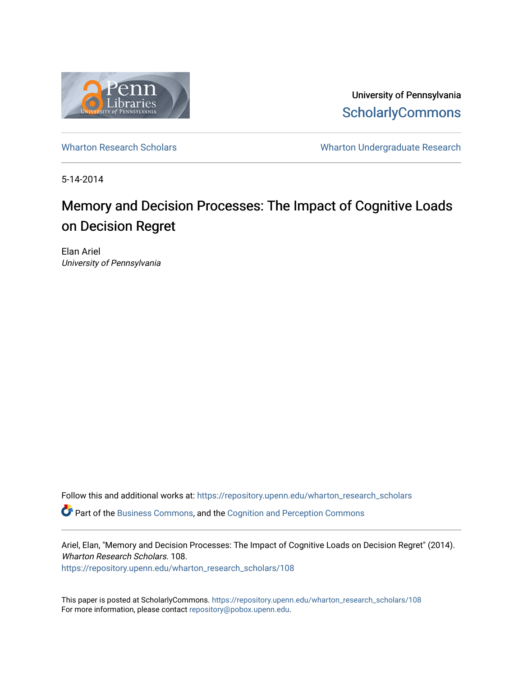

University of Pennsylvania **ScholarlyCommons** 

[Wharton Research Scholars](https://repository.upenn.edu/wharton_research_scholars) **Wharton Undergraduate Research** 

5-14-2014

# Memory and Decision Processes: The Impact of Cognitive Loads on Decision Regret

Elan Ariel University of Pennsylvania

Follow this and additional works at: [https://repository.upenn.edu/wharton\\_research\\_scholars](https://repository.upenn.edu/wharton_research_scholars?utm_source=repository.upenn.edu%2Fwharton_research_scholars%2F108&utm_medium=PDF&utm_campaign=PDFCoverPages)  Part of the [Business Commons](http://network.bepress.com/hgg/discipline/622?utm_source=repository.upenn.edu%2Fwharton_research_scholars%2F108&utm_medium=PDF&utm_campaign=PDFCoverPages), and the [Cognition and Perception Commons](http://network.bepress.com/hgg/discipline/407?utm_source=repository.upenn.edu%2Fwharton_research_scholars%2F108&utm_medium=PDF&utm_campaign=PDFCoverPages) 

Ariel, Elan, "Memory and Decision Processes: The Impact of Cognitive Loads on Decision Regret" (2014). Wharton Research Scholars. 108.

[https://repository.upenn.edu/wharton\\_research\\_scholars/108](https://repository.upenn.edu/wharton_research_scholars/108?utm_source=repository.upenn.edu%2Fwharton_research_scholars%2F108&utm_medium=PDF&utm_campaign=PDFCoverPages) 

This paper is posted at ScholarlyCommons. [https://repository.upenn.edu/wharton\\_research\\_scholars/108](https://repository.upenn.edu/wharton_research_scholars/108)  For more information, please contact [repository@pobox.upenn.edu.](mailto:repository@pobox.upenn.edu)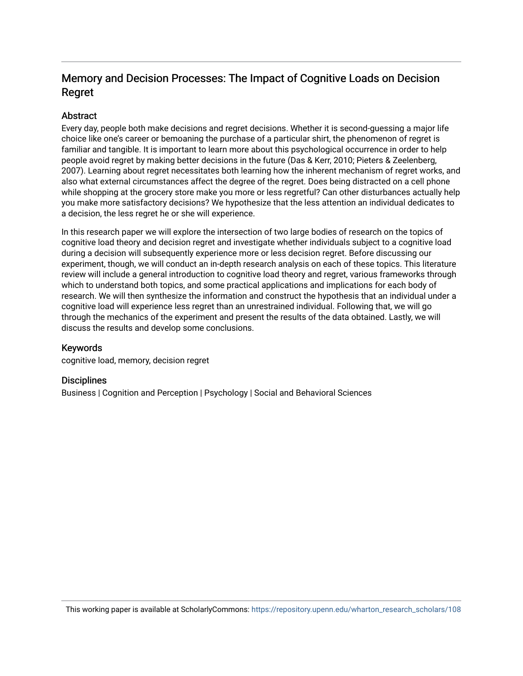## Memory and Decision Processes: The Impact of Cognitive Loads on Decision Regret

#### **Abstract**

Every day, people both make decisions and regret decisions. Whether it is second-guessing a major life choice like one's career or bemoaning the purchase of a particular shirt, the phenomenon of regret is familiar and tangible. It is important to learn more about this psychological occurrence in order to help people avoid regret by making better decisions in the future (Das & Kerr, 2010; Pieters & Zeelenberg, 2007). Learning about regret necessitates both learning how the inherent mechanism of regret works, and also what external circumstances affect the degree of the regret. Does being distracted on a cell phone while shopping at the grocery store make you more or less regretful? Can other disturbances actually help you make more satisfactory decisions? We hypothesize that the less attention an individual dedicates to a decision, the less regret he or she will experience.

In this research paper we will explore the intersection of two large bodies of research on the topics of cognitive load theory and decision regret and investigate whether individuals subject to a cognitive load during a decision will subsequently experience more or less decision regret. Before discussing our experiment, though, we will conduct an in-depth research analysis on each of these topics. This literature review will include a general introduction to cognitive load theory and regret, various frameworks through which to understand both topics, and some practical applications and implications for each body of research. We will then synthesize the information and construct the hypothesis that an individual under a cognitive load will experience less regret than an unrestrained individual. Following that, we will go through the mechanics of the experiment and present the results of the data obtained. Lastly, we will discuss the results and develop some conclusions.

#### Keywords

cognitive load, memory, decision regret

#### **Disciplines**

Business | Cognition and Perception | Psychology | Social and Behavioral Sciences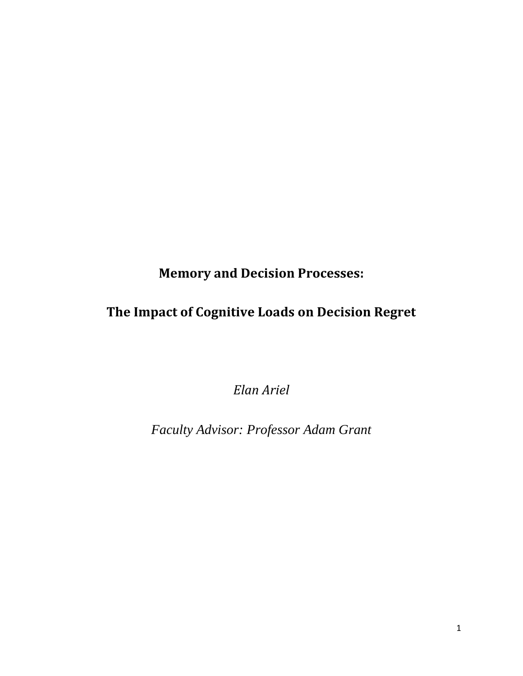**Memory and Decision Processes:**

## **The Impact of Cognitive Loads on Decision Regret**

*Elan Ariel*

*Faculty Advisor: Professor Adam Grant*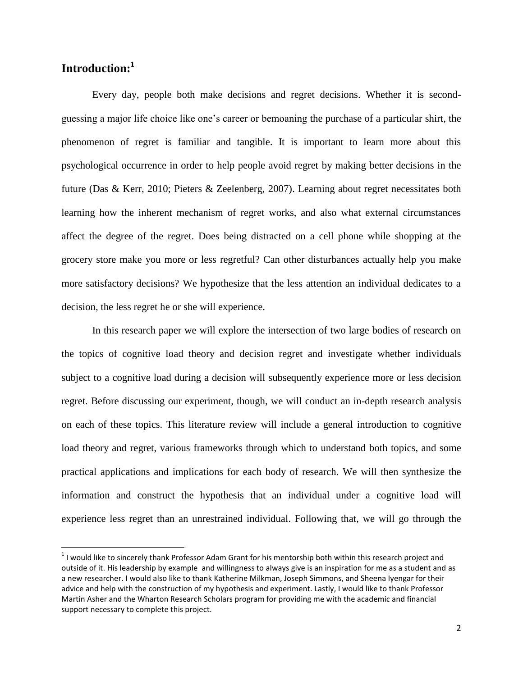### **Introduction:<sup>1</sup>**

 $\overline{a}$ 

Every day, people both make decisions and regret decisions. Whether it is secondguessing a major life choice like one's career or bemoaning the purchase of a particular shirt, the phenomenon of regret is familiar and tangible. It is important to learn more about this psychological occurrence in order to help people avoid regret by making better decisions in the future (Das & Kerr, 2010; Pieters & Zeelenberg, 2007). Learning about regret necessitates both learning how the inherent mechanism of regret works, and also what external circumstances affect the degree of the regret. Does being distracted on a cell phone while shopping at the grocery store make you more or less regretful? Can other disturbances actually help you make more satisfactory decisions? We hypothesize that the less attention an individual dedicates to a decision, the less regret he or she will experience.

In this research paper we will explore the intersection of two large bodies of research on the topics of cognitive load theory and decision regret and investigate whether individuals subject to a cognitive load during a decision will subsequently experience more or less decision regret. Before discussing our experiment, though, we will conduct an in-depth research analysis on each of these topics. This literature review will include a general introduction to cognitive load theory and regret, various frameworks through which to understand both topics, and some practical applications and implications for each body of research. We will then synthesize the information and construct the hypothesis that an individual under a cognitive load will experience less regret than an unrestrained individual. Following that, we will go through the

 $1$ I would like to sincerely thank Professor Adam Grant for his mentorship both within this research project and outside of it. His leadership by example and willingness to always give is an inspiration for me as a student and as a new researcher. I would also like to thank Katherine Milkman, Joseph Simmons, and Sheena Iyengar for their advice and help with the construction of my hypothesis and experiment. Lastly, I would like to thank Professor Martin Asher and the Wharton Research Scholars program for providing me with the academic and financial support necessary to complete this project.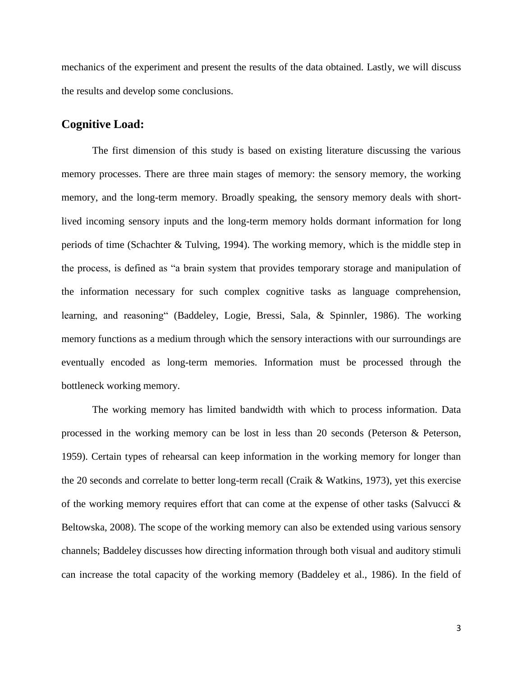mechanics of the experiment and present the results of the data obtained. Lastly, we will discuss the results and develop some conclusions.

#### **Cognitive Load:**

The first dimension of this study is based on existing literature discussing the various memory processes. There are three main stages of memory: the sensory memory, the working memory, and the long-term memory. Broadly speaking, the sensory memory deals with shortlived incoming sensory inputs and the long-term memory holds dormant information for long periods of time (Schachter & Tulving, 1994). The working memory, which is the middle step in the process, is defined as "a brain system that provides temporary storage and manipulation of the information necessary for such complex cognitive tasks as language comprehension, learning, and reasoning" (Baddeley, Logie, Bressi, Sala, & Spinnler, 1986). The working memory functions as a medium through which the sensory interactions with our surroundings are eventually encoded as long-term memories. Information must be processed through the bottleneck working memory.

The working memory has limited bandwidth with which to process information. Data processed in the working memory can be lost in less than 20 seconds (Peterson & Peterson, 1959). Certain types of rehearsal can keep information in the working memory for longer than the 20 seconds and correlate to better long-term recall (Craik & Watkins, 1973), yet this exercise of the working memory requires effort that can come at the expense of other tasks (Salvucci & Beltowska, 2008). The scope of the working memory can also be extended using various sensory channels; Baddeley discusses how directing information through both visual and auditory stimuli can increase the total capacity of the working memory (Baddeley et al., 1986). In the field of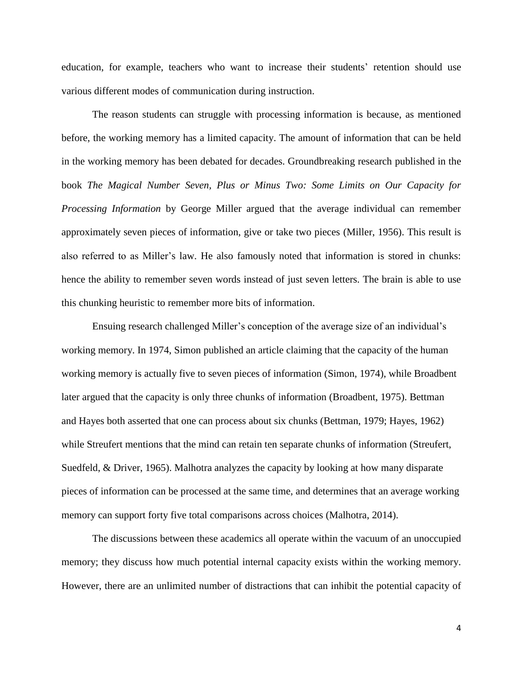education, for example, teachers who want to increase their students' retention should use various different modes of communication during instruction.

The reason students can struggle with processing information is because, as mentioned before, the working memory has a limited capacity. The amount of information that can be held in the working memory has been debated for decades. Groundbreaking research published in the book *The Magical Number Seven, Plus or Minus Two: Some Limits on Our Capacity for Processing Information* by George Miller argued that the average individual can remember approximately seven pieces of information, give or take two pieces (Miller, 1956). This result is also referred to as Miller's law. He also famously noted that information is stored in chunks: hence the ability to remember seven words instead of just seven letters. The brain is able to use this chunking heuristic to remember more bits of information.

Ensuing research challenged Miller's conception of the average size of an individual's working memory. In 1974, Simon published an article claiming that the capacity of the human working memory is actually five to seven pieces of information (Simon, 1974), while Broadbent later argued that the capacity is only three chunks of information (Broadbent, 1975). Bettman and Hayes both asserted that one can process about six chunks (Bettman, 1979; Hayes, 1962) while Streufert mentions that the mind can retain ten separate chunks of information (Streufert, Suedfeld, & Driver, 1965). Malhotra analyzes the capacity by looking at how many disparate pieces of information can be processed at the same time, and determines that an average working memory can support forty five total comparisons across choices (Malhotra, 2014).

The discussions between these academics all operate within the vacuum of an unoccupied memory; they discuss how much potential internal capacity exists within the working memory. However, there are an unlimited number of distractions that can inhibit the potential capacity of

4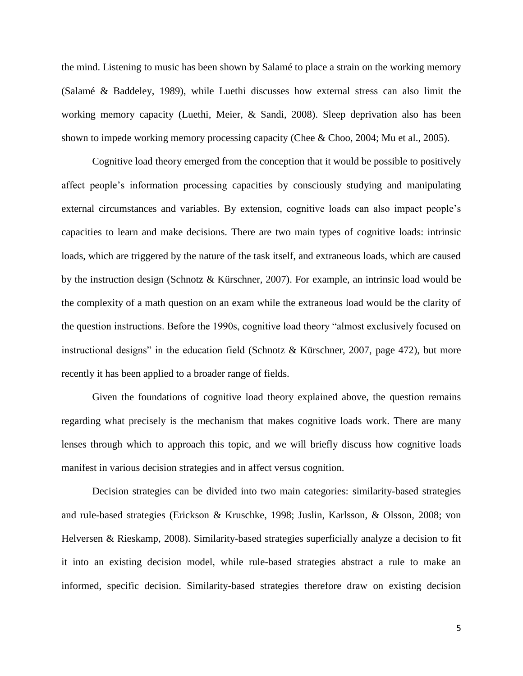the mind. Listening to music has been shown by Salamé to place a strain on the working memory (Salamé & Baddeley, 1989), while Luethi discusses how external stress can also limit the working memory capacity (Luethi, Meier, & Sandi, 2008). Sleep deprivation also has been shown to impede working memory processing capacity (Chee & Choo, 2004; Mu et al., 2005).

Cognitive load theory emerged from the conception that it would be possible to positively affect people's information processing capacities by consciously studying and manipulating external circumstances and variables. By extension, cognitive loads can also impact people's capacities to learn and make decisions. There are two main types of cognitive loads: intrinsic loads, which are triggered by the nature of the task itself, and extraneous loads, which are caused by the instruction design (Schnotz & Kürschner, 2007). For example, an intrinsic load would be the complexity of a math question on an exam while the extraneous load would be the clarity of the question instructions. Before the 1990s, cognitive load theory "almost exclusively focused on instructional designs" in the education field (Schnotz & Kürschner, 2007, page 472), but more recently it has been applied to a broader range of fields.

Given the foundations of cognitive load theory explained above, the question remains regarding what precisely is the mechanism that makes cognitive loads work. There are many lenses through which to approach this topic, and we will briefly discuss how cognitive loads manifest in various decision strategies and in affect versus cognition.

Decision strategies can be divided into two main categories: similarity-based strategies and rule-based strategies (Erickson & Kruschke, 1998; Juslin, Karlsson, & Olsson, 2008; von Helversen & Rieskamp, 2008). Similarity-based strategies superficially analyze a decision to fit it into an existing decision model, while rule-based strategies abstract a rule to make an informed, specific decision. Similarity-based strategies therefore draw on existing decision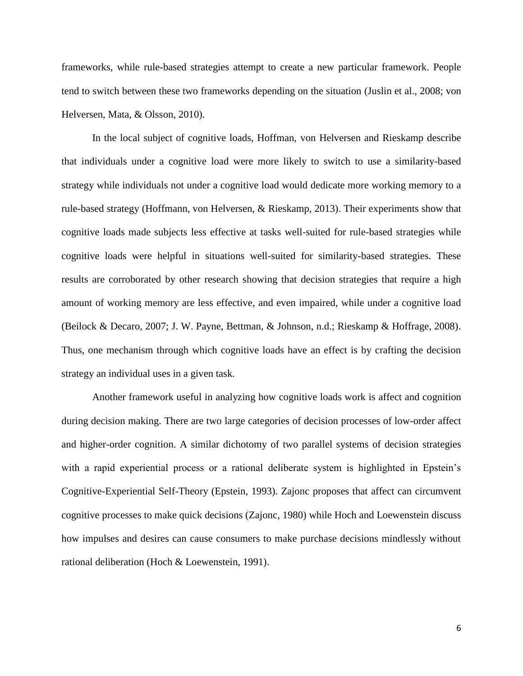frameworks, while rule-based strategies attempt to create a new particular framework. People tend to switch between these two frameworks depending on the situation (Juslin et al., 2008; von Helversen, Mata, & Olsson, 2010).

In the local subject of cognitive loads, Hoffman, von Helversen and Rieskamp describe that individuals under a cognitive load were more likely to switch to use a similarity-based strategy while individuals not under a cognitive load would dedicate more working memory to a rule-based strategy (Hoffmann, von Helversen, & Rieskamp, 2013). Their experiments show that cognitive loads made subjects less effective at tasks well-suited for rule-based strategies while cognitive loads were helpful in situations well-suited for similarity-based strategies. These results are corroborated by other research showing that decision strategies that require a high amount of working memory are less effective, and even impaired, while under a cognitive load (Beilock & Decaro, 2007; J. W. Payne, Bettman, & Johnson, n.d.; Rieskamp & Hoffrage, 2008). Thus, one mechanism through which cognitive loads have an effect is by crafting the decision strategy an individual uses in a given task.

Another framework useful in analyzing how cognitive loads work is affect and cognition during decision making. There are two large categories of decision processes of low-order affect and higher-order cognition. A similar dichotomy of two parallel systems of decision strategies with a rapid experiential process or a rational deliberate system is highlighted in Epstein's Cognitive-Experiential Self-Theory (Epstein, 1993). Zajonc proposes that affect can circumvent cognitive processes to make quick decisions (Zajonc, 1980) while Hoch and Loewenstein discuss how impulses and desires can cause consumers to make purchase decisions mindlessly without rational deliberation (Hoch & Loewenstein, 1991).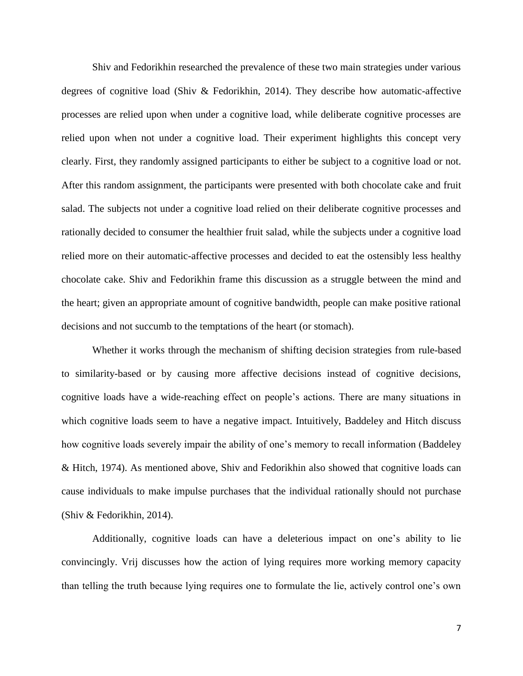Shiv and Fedorikhin researched the prevalence of these two main strategies under various degrees of cognitive load (Shiv & Fedorikhin, 2014). They describe how automatic-affective processes are relied upon when under a cognitive load, while deliberate cognitive processes are relied upon when not under a cognitive load. Their experiment highlights this concept very clearly. First, they randomly assigned participants to either be subject to a cognitive load or not. After this random assignment, the participants were presented with both chocolate cake and fruit salad. The subjects not under a cognitive load relied on their deliberate cognitive processes and rationally decided to consumer the healthier fruit salad, while the subjects under a cognitive load relied more on their automatic-affective processes and decided to eat the ostensibly less healthy chocolate cake. Shiv and Fedorikhin frame this discussion as a struggle between the mind and the heart; given an appropriate amount of cognitive bandwidth, people can make positive rational decisions and not succumb to the temptations of the heart (or stomach).

Whether it works through the mechanism of shifting decision strategies from rule-based to similarity-based or by causing more affective decisions instead of cognitive decisions, cognitive loads have a wide-reaching effect on people's actions. There are many situations in which cognitive loads seem to have a negative impact. Intuitively, Baddeley and Hitch discuss how cognitive loads severely impair the ability of one's memory to recall information (Baddeley & Hitch, 1974). As mentioned above, Shiv and Fedorikhin also showed that cognitive loads can cause individuals to make impulse purchases that the individual rationally should not purchase (Shiv & Fedorikhin, 2014).

Additionally, cognitive loads can have a deleterious impact on one's ability to lie convincingly. Vrij discusses how the action of lying requires more working memory capacity than telling the truth because lying requires one to formulate the lie, actively control one's own

7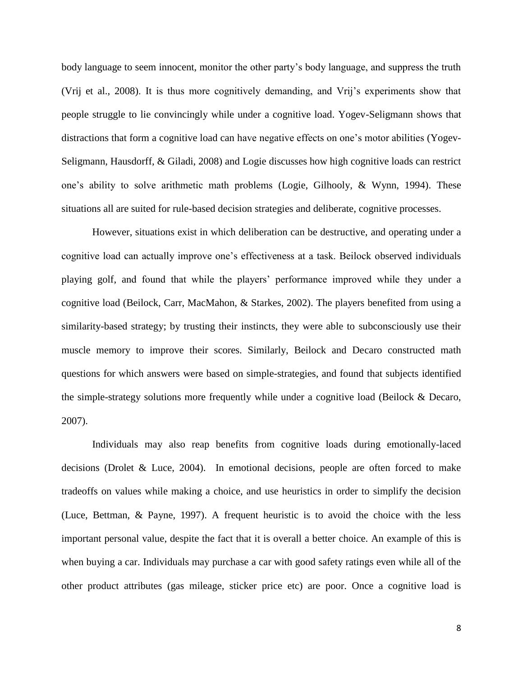body language to seem innocent, monitor the other party's body language, and suppress the truth (Vrij et al., 2008). It is thus more cognitively demanding, and Vrij's experiments show that people struggle to lie convincingly while under a cognitive load. Yogev-Seligmann shows that distractions that form a cognitive load can have negative effects on one's motor abilities (Yogev-Seligmann, Hausdorff, & Giladi, 2008) and Logie discusses how high cognitive loads can restrict one's ability to solve arithmetic math problems (Logie, Gilhooly, & Wynn, 1994). These situations all are suited for rule-based decision strategies and deliberate, cognitive processes.

However, situations exist in which deliberation can be destructive, and operating under a cognitive load can actually improve one's effectiveness at a task. Beilock observed individuals playing golf, and found that while the players' performance improved while they under a cognitive load (Beilock, Carr, MacMahon, & Starkes, 2002). The players benefited from using a similarity-based strategy; by trusting their instincts, they were able to subconsciously use their muscle memory to improve their scores. Similarly, Beilock and Decaro constructed math questions for which answers were based on simple-strategies, and found that subjects identified the simple-strategy solutions more frequently while under a cognitive load (Beilock & Decaro, 2007).

Individuals may also reap benefits from cognitive loads during emotionally-laced decisions (Drolet & Luce, 2004). In emotional decisions, people are often forced to make tradeoffs on values while making a choice, and use heuristics in order to simplify the decision (Luce, Bettman, & Payne, 1997). A frequent heuristic is to avoid the choice with the less important personal value, despite the fact that it is overall a better choice. An example of this is when buying a car. Individuals may purchase a car with good safety ratings even while all of the other product attributes (gas mileage, sticker price etc) are poor. Once a cognitive load is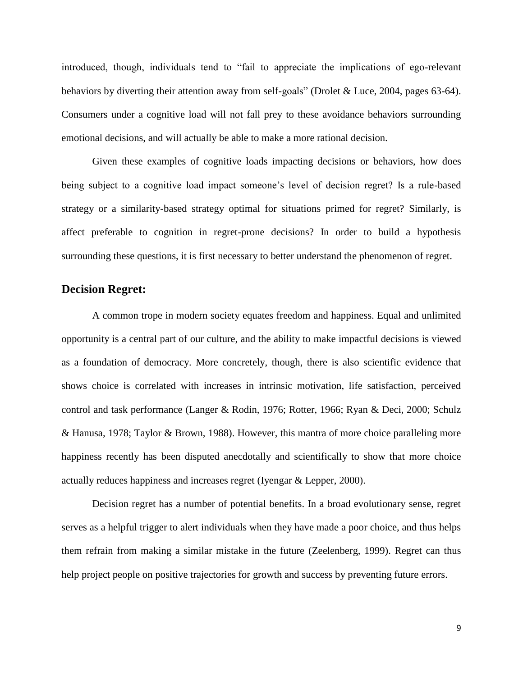introduced, though, individuals tend to "fail to appreciate the implications of ego-relevant behaviors by diverting their attention away from self-goals" (Drolet & Luce, 2004, pages 63-64). Consumers under a cognitive load will not fall prey to these avoidance behaviors surrounding emotional decisions, and will actually be able to make a more rational decision.

Given these examples of cognitive loads impacting decisions or behaviors, how does being subject to a cognitive load impact someone's level of decision regret? Is a rule-based strategy or a similarity-based strategy optimal for situations primed for regret? Similarly, is affect preferable to cognition in regret-prone decisions? In order to build a hypothesis surrounding these questions, it is first necessary to better understand the phenomenon of regret.

#### **Decision Regret:**

A common trope in modern society equates freedom and happiness. Equal and unlimited opportunity is a central part of our culture, and the ability to make impactful decisions is viewed as a foundation of democracy. More concretely, though, there is also scientific evidence that shows choice is correlated with increases in intrinsic motivation, life satisfaction, perceived control and task performance (Langer & Rodin, 1976; Rotter, 1966; Ryan & Deci, 2000; Schulz & Hanusa, 1978; Taylor & Brown, 1988). However, this mantra of more choice paralleling more happiness recently has been disputed anecdotally and scientifically to show that more choice actually reduces happiness and increases regret (Iyengar & Lepper, 2000).

Decision regret has a number of potential benefits. In a broad evolutionary sense, regret serves as a helpful trigger to alert individuals when they have made a poor choice, and thus helps them refrain from making a similar mistake in the future (Zeelenberg, 1999). Regret can thus help project people on positive trajectories for growth and success by preventing future errors.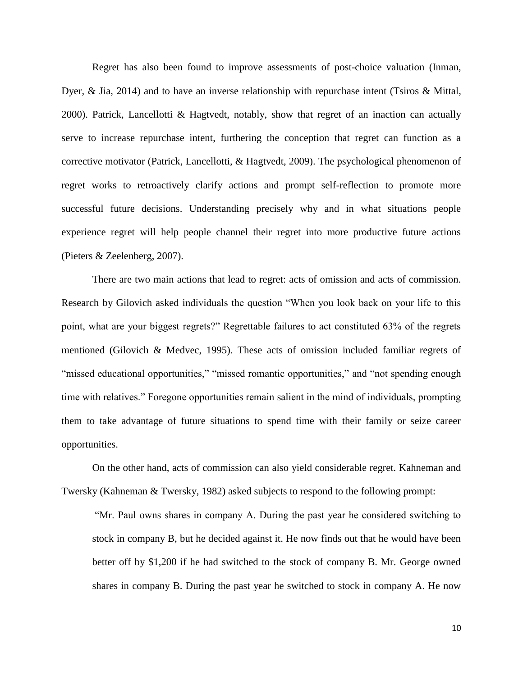Regret has also been found to improve assessments of post-choice valuation (Inman, Dyer, & Jia, 2014) and to have an inverse relationship with repurchase intent (Tsiros & Mittal, 2000). Patrick, Lancellotti & Hagtvedt, notably, show that regret of an inaction can actually serve to increase repurchase intent, furthering the conception that regret can function as a corrective motivator (Patrick, Lancellotti, & Hagtvedt, 2009). The psychological phenomenon of regret works to retroactively clarify actions and prompt self-reflection to promote more successful future decisions. Understanding precisely why and in what situations people experience regret will help people channel their regret into more productive future actions (Pieters & Zeelenberg, 2007).

There are two main actions that lead to regret: acts of omission and acts of commission. Research by Gilovich asked individuals the question "When you look back on your life to this point, what are your biggest regrets?" Regrettable failures to act constituted 63% of the regrets mentioned (Gilovich & Medvec, 1995). These acts of omission included familiar regrets of "missed educational opportunities," "missed romantic opportunities," and "not spending enough time with relatives." Foregone opportunities remain salient in the mind of individuals, prompting them to take advantage of future situations to spend time with their family or seize career opportunities.

On the other hand, acts of commission can also yield considerable regret. Kahneman and Twersky (Kahneman & Twersky, 1982) asked subjects to respond to the following prompt:

"Mr. Paul owns shares in company A. During the past year he considered switching to stock in company B, but he decided against it. He now finds out that he would have been better off by \$1,200 if he had switched to the stock of company B. Mr. George owned shares in company B. During the past year he switched to stock in company A. He now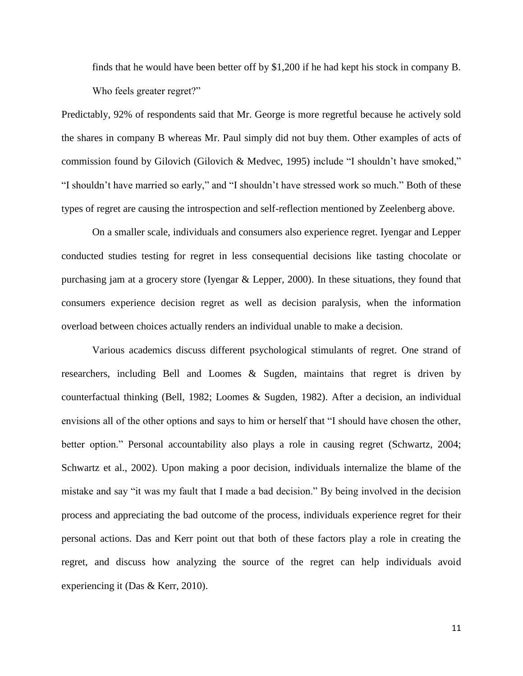finds that he would have been better off by \$1,200 if he had kept his stock in company B. Who feels greater regret?"

Predictably, 92% of respondents said that Mr. George is more regretful because he actively sold the shares in company B whereas Mr. Paul simply did not buy them. Other examples of acts of commission found by Gilovich (Gilovich & Medvec, 1995) include "I shouldn't have smoked," "I shouldn't have married so early," and "I shouldn't have stressed work so much." Both of these types of regret are causing the introspection and self-reflection mentioned by Zeelenberg above.

On a smaller scale, individuals and consumers also experience regret. Iyengar and Lepper conducted studies testing for regret in less consequential decisions like tasting chocolate or purchasing jam at a grocery store (Iyengar & Lepper, 2000). In these situations, they found that consumers experience decision regret as well as decision paralysis, when the information overload between choices actually renders an individual unable to make a decision.

Various academics discuss different psychological stimulants of regret. One strand of researchers, including Bell and Loomes & Sugden, maintains that regret is driven by counterfactual thinking (Bell, 1982; Loomes & Sugden, 1982). After a decision, an individual envisions all of the other options and says to him or herself that "I should have chosen the other, better option." Personal accountability also plays a role in causing regret (Schwartz, 2004; Schwartz et al., 2002). Upon making a poor decision, individuals internalize the blame of the mistake and say "it was my fault that I made a bad decision." By being involved in the decision process and appreciating the bad outcome of the process, individuals experience regret for their personal actions. Das and Kerr point out that both of these factors play a role in creating the regret, and discuss how analyzing the source of the regret can help individuals avoid experiencing it (Das & Kerr, 2010).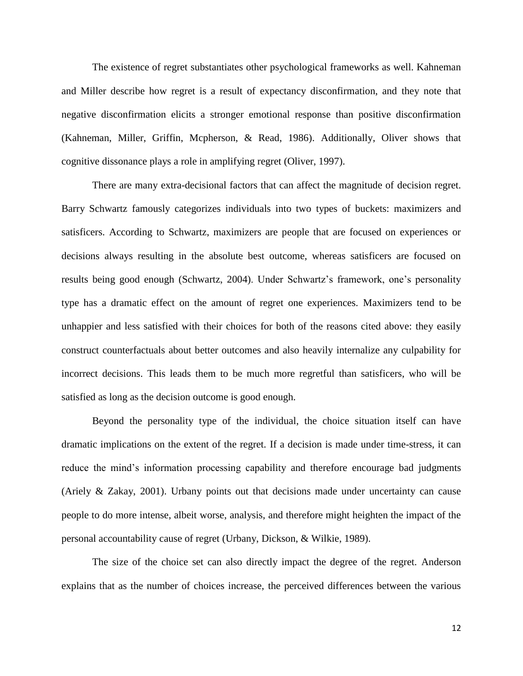The existence of regret substantiates other psychological frameworks as well. Kahneman and Miller describe how regret is a result of expectancy disconfirmation, and they note that negative disconfirmation elicits a stronger emotional response than positive disconfirmation (Kahneman, Miller, Griffin, Mcpherson, & Read, 1986). Additionally, Oliver shows that cognitive dissonance plays a role in amplifying regret (Oliver, 1997).

There are many extra-decisional factors that can affect the magnitude of decision regret. Barry Schwartz famously categorizes individuals into two types of buckets: maximizers and satisficers. According to Schwartz, maximizers are people that are focused on experiences or decisions always resulting in the absolute best outcome, whereas satisficers are focused on results being good enough (Schwartz, 2004). Under Schwartz's framework, one's personality type has a dramatic effect on the amount of regret one experiences. Maximizers tend to be unhappier and less satisfied with their choices for both of the reasons cited above: they easily construct counterfactuals about better outcomes and also heavily internalize any culpability for incorrect decisions. This leads them to be much more regretful than satisficers, who will be satisfied as long as the decision outcome is good enough.

Beyond the personality type of the individual, the choice situation itself can have dramatic implications on the extent of the regret. If a decision is made under time-stress, it can reduce the mind's information processing capability and therefore encourage bad judgments (Ariely & Zakay, 2001). Urbany points out that decisions made under uncertainty can cause people to do more intense, albeit worse, analysis, and therefore might heighten the impact of the personal accountability cause of regret (Urbany, Dickson, & Wilkie, 1989).

The size of the choice set can also directly impact the degree of the regret. Anderson explains that as the number of choices increase, the perceived differences between the various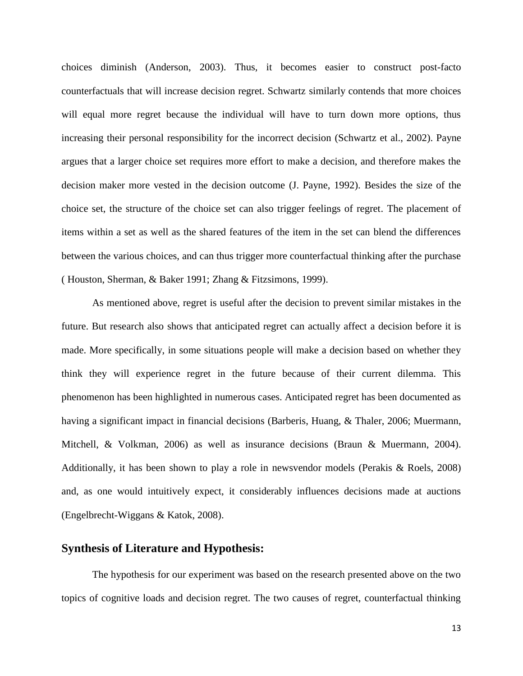choices diminish (Anderson, 2003). Thus, it becomes easier to construct post-facto counterfactuals that will increase decision regret. Schwartz similarly contends that more choices will equal more regret because the individual will have to turn down more options, thus increasing their personal responsibility for the incorrect decision (Schwartz et al., 2002). Payne argues that a larger choice set requires more effort to make a decision, and therefore makes the decision maker more vested in the decision outcome (J. Payne, 1992). Besides the size of the choice set, the structure of the choice set can also trigger feelings of regret. The placement of items within a set as well as the shared features of the item in the set can blend the differences between the various choices, and can thus trigger more counterfactual thinking after the purchase ( Houston, Sherman, & Baker 1991; Zhang & Fitzsimons, 1999).

As mentioned above, regret is useful after the decision to prevent similar mistakes in the future. But research also shows that anticipated regret can actually affect a decision before it is made. More specifically, in some situations people will make a decision based on whether they think they will experience regret in the future because of their current dilemma. This phenomenon has been highlighted in numerous cases. Anticipated regret has been documented as having a significant impact in financial decisions (Barberis, Huang, & Thaler, 2006; Muermann, Mitchell, & Volkman, 2006) as well as insurance decisions (Braun & Muermann, 2004). Additionally, it has been shown to play a role in newsvendor models (Perakis & Roels, 2008) and, as one would intuitively expect, it considerably influences decisions made at auctions (Engelbrecht-Wiggans & Katok, 2008).

#### **Synthesis of Literature and Hypothesis:**

The hypothesis for our experiment was based on the research presented above on the two topics of cognitive loads and decision regret. The two causes of regret, counterfactual thinking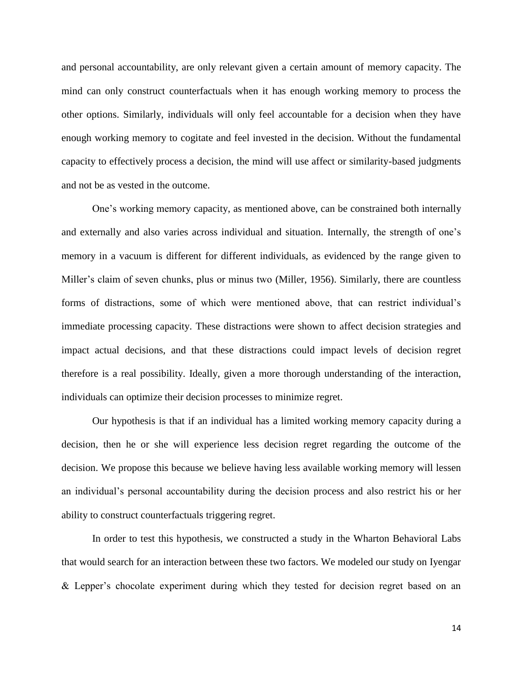and personal accountability, are only relevant given a certain amount of memory capacity. The mind can only construct counterfactuals when it has enough working memory to process the other options. Similarly, individuals will only feel accountable for a decision when they have enough working memory to cogitate and feel invested in the decision. Without the fundamental capacity to effectively process a decision, the mind will use affect or similarity-based judgments and not be as vested in the outcome.

One's working memory capacity, as mentioned above, can be constrained both internally and externally and also varies across individual and situation. Internally, the strength of one's memory in a vacuum is different for different individuals, as evidenced by the range given to Miller's claim of seven chunks, plus or minus two (Miller, 1956). Similarly, there are countless forms of distractions, some of which were mentioned above, that can restrict individual's immediate processing capacity. These distractions were shown to affect decision strategies and impact actual decisions, and that these distractions could impact levels of decision regret therefore is a real possibility. Ideally, given a more thorough understanding of the interaction, individuals can optimize their decision processes to minimize regret.

Our hypothesis is that if an individual has a limited working memory capacity during a decision, then he or she will experience less decision regret regarding the outcome of the decision. We propose this because we believe having less available working memory will lessen an individual's personal accountability during the decision process and also restrict his or her ability to construct counterfactuals triggering regret.

In order to test this hypothesis, we constructed a study in the Wharton Behavioral Labs that would search for an interaction between these two factors. We modeled our study on Iyengar & Lepper's chocolate experiment during which they tested for decision regret based on an

14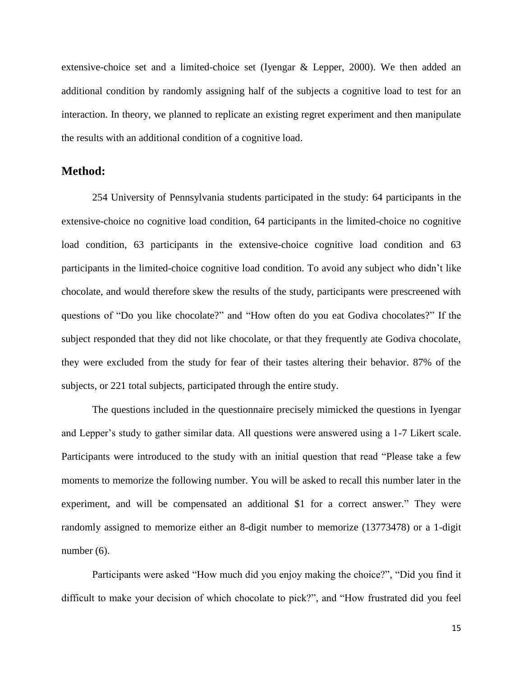extensive-choice set and a limited-choice set (Iyengar & Lepper, 2000). We then added an additional condition by randomly assigning half of the subjects a cognitive load to test for an interaction. In theory, we planned to replicate an existing regret experiment and then manipulate the results with an additional condition of a cognitive load.

#### **Method:**

254 University of Pennsylvania students participated in the study: 64 participants in the extensive-choice no cognitive load condition, 64 participants in the limited-choice no cognitive load condition, 63 participants in the extensive-choice cognitive load condition and 63 participants in the limited-choice cognitive load condition. To avoid any subject who didn't like chocolate, and would therefore skew the results of the study, participants were prescreened with questions of "Do you like chocolate?" and "How often do you eat Godiva chocolates?" If the subject responded that they did not like chocolate, or that they frequently ate Godiva chocolate, they were excluded from the study for fear of their tastes altering their behavior. 87% of the subjects, or 221 total subjects, participated through the entire study.

The questions included in the questionnaire precisely mimicked the questions in Iyengar and Lepper's study to gather similar data. All questions were answered using a 1-7 Likert scale. Participants were introduced to the study with an initial question that read "Please take a few moments to memorize the following number. You will be asked to recall this number later in the experiment, and will be compensated an additional \$1 for a correct answer." They were randomly assigned to memorize either an 8-digit number to memorize (13773478) or a 1-digit number (6).

Participants were asked "How much did you enjoy making the choice?", "Did you find it difficult to make your decision of which chocolate to pick?", and "How frustrated did you feel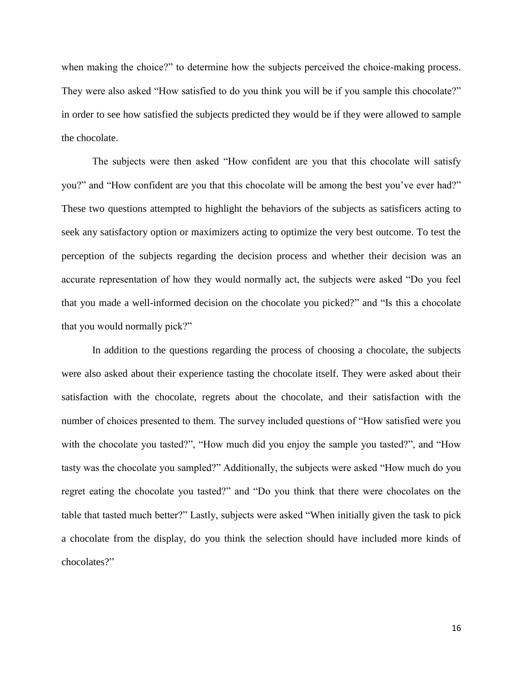when making the choice?" to determine how the subjects perceived the choice-making process. They were also asked "How satisfied to do you think you will be if you sample this chocolate?" in order to see how satisfied the subjects predicted they would be if they were allowed to sample the chocolate.

The subjects were then asked "How confident are you that this chocolate will satisfy you?" and "How confident are you that this chocolate will be among the best you've ever had?" These two questions attempted to highlight the behaviors of the subjects as satisficers acting to seek any satisfactory option or maximizers acting to optimize the very best outcome. To test the perception of the subjects regarding the decision process and whether their decision was an accurate representation of how they would normally act, the subjects were asked "Do you feel that you made a well-informed decision on the chocolate you picked?" and "Is this a chocolate that you would normally pick?"

In addition to the questions regarding the process of choosing a chocolate, the subjects were also asked about their experience tasting the chocolate itself. They were asked about their satisfaction with the chocolate, regrets about the chocolate, and their satisfaction with the number of choices presented to them. The survey included questions of "How satisfied were you with the chocolate you tasted?", "How much did you enjoy the sample you tasted?", and "How tasty was the chocolate you sampled?" Additionally, the subjects were asked "How much do you regret eating the chocolate you tasted?" and "Do you think that there were chocolates on the table that tasted much better?" Lastly, subjects were asked "When initially given the task to pick a chocolate from the display, do you think the selection should have included more kinds of chocolates?"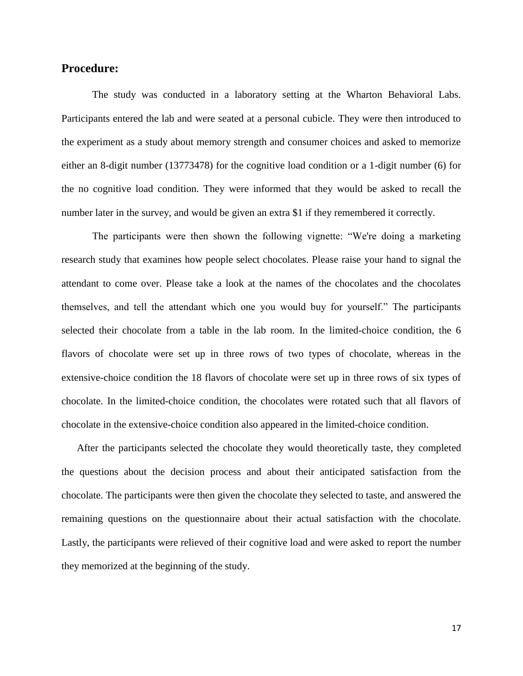#### **Procedure:**

The study was conducted in a laboratory setting at the Wharton Behavioral Labs. Participants entered the lab and were seated at a personal cubicle. They were then introduced to the experiment as a study about memory strength and consumer choices and asked to memorize either an 8-digit number (13773478) for the cognitive load condition or a 1-digit number (6) for the no cognitive load condition. They were informed that they would be asked to recall the number later in the survey, and would be given an extra \$1 if they remembered it correctly.

The participants were then shown the following vignette: "We're doing a marketing research study that examines how people select chocolates. Please raise your hand to signal the attendant to come over. Please take a look at the names of the chocolates and the chocolates themselves, and tell the attendant which one you would buy for yourself." The participants selected their chocolate from a table in the lab room. In the limited-choice condition, the 6 flavors of chocolate were set up in three rows of two types of chocolate, whereas in the extensive-choice condition the 18 flavors of chocolate were set up in three rows of six types of chocolate. In the limited-choice condition, the chocolates were rotated such that all flavors of chocolate in the extensive-choice condition also appeared in the limited-choice condition.

After the participants selected the chocolate they would theoretically taste, they completed the questions about the decision process and about their anticipated satisfaction from the chocolate. The participants were then given the chocolate they selected to taste, and answered the remaining questions on the questionnaire about their actual satisfaction with the chocolate. Lastly, the participants were relieved of their cognitive load and were asked to report the number they memorized at the beginning of the study.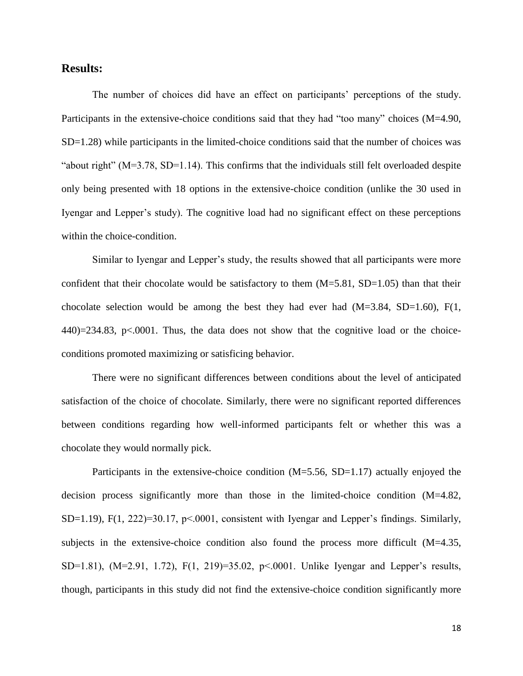#### **Results:**

The number of choices did have an effect on participants' perceptions of the study. Participants in the extensive-choice conditions said that they had "too many" choices (M=4.90,  $SD=1.28$ ) while participants in the limited-choice conditions said that the number of choices was "about right" (M=3.78, SD=1.14). This confirms that the individuals still felt overloaded despite only being presented with 18 options in the extensive-choice condition (unlike the 30 used in Iyengar and Lepper's study). The cognitive load had no significant effect on these perceptions within the choice-condition.

Similar to Iyengar and Lepper's study, the results showed that all participants were more confident that their chocolate would be satisfactory to them  $(M=5.81, SD=1.05)$  than that their chocolate selection would be among the best they had ever had  $(M=3.84, SD=1.60)$ ,  $F(1,$  $440$ )=234.83, p<.0001. Thus, the data does not show that the cognitive load or the choiceconditions promoted maximizing or satisficing behavior.

There were no significant differences between conditions about the level of anticipated satisfaction of the choice of chocolate. Similarly, there were no significant reported differences between conditions regarding how well-informed participants felt or whether this was a chocolate they would normally pick.

Participants in the extensive-choice condition (M=5.56, SD=1.17) actually enjoyed the decision process significantly more than those in the limited-choice condition (M=4.82,  $SD=1.19$ ),  $F(1, 222)=30.17$ ,  $p<0.001$ , consistent with Iyengar and Lepper's findings. Similarly, subjects in the extensive-choice condition also found the process more difficult (M=4.35, SD=1.81), (M=2.91, 1.72), F(1, 219)=35.02, p<.0001. Unlike Iyengar and Lepper's results, though, participants in this study did not find the extensive-choice condition significantly more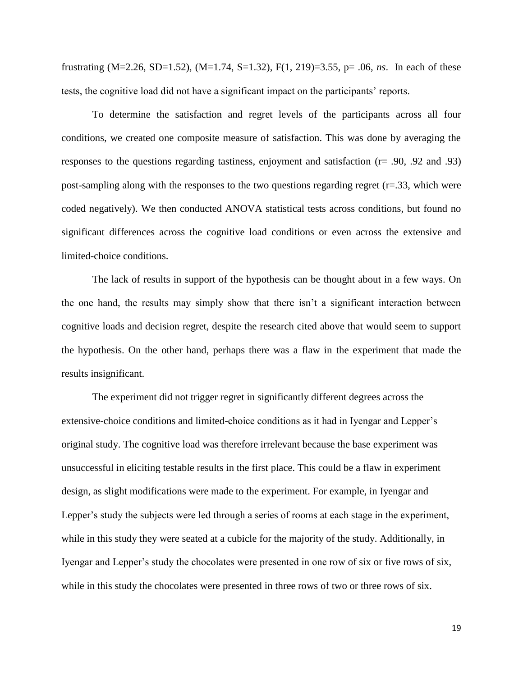frustrating (M=2.26, SD=1.52), (M=1.74, S=1.32), F(1, 219)=3.55, p= .06, *ns*. In each of these tests, the cognitive load did not have a significant impact on the participants' reports.

To determine the satisfaction and regret levels of the participants across all four conditions, we created one composite measure of satisfaction. This was done by averaging the responses to the questions regarding tastiness, enjoyment and satisfaction (r= .90, .92 and .93) post-sampling along with the responses to the two questions regarding regret  $(r=.33)$ , which were coded negatively). We then conducted ANOVA statistical tests across conditions, but found no significant differences across the cognitive load conditions or even across the extensive and limited-choice conditions.

The lack of results in support of the hypothesis can be thought about in a few ways. On the one hand, the results may simply show that there isn't a significant interaction between cognitive loads and decision regret, despite the research cited above that would seem to support the hypothesis. On the other hand, perhaps there was a flaw in the experiment that made the results insignificant.

The experiment did not trigger regret in significantly different degrees across the extensive-choice conditions and limited-choice conditions as it had in Iyengar and Lepper's original study. The cognitive load was therefore irrelevant because the base experiment was unsuccessful in eliciting testable results in the first place. This could be a flaw in experiment design, as slight modifications were made to the experiment. For example, in Iyengar and Lepper's study the subjects were led through a series of rooms at each stage in the experiment, while in this study they were seated at a cubicle for the majority of the study. Additionally, in Iyengar and Lepper's study the chocolates were presented in one row of six or five rows of six, while in this study the chocolates were presented in three rows of two or three rows of six.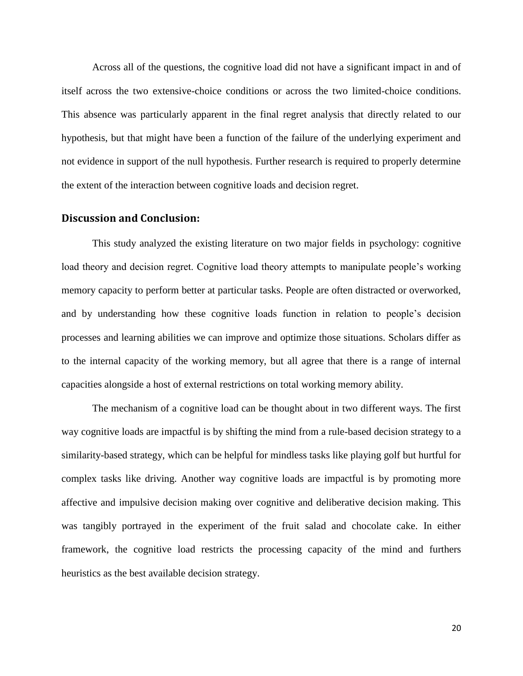Across all of the questions, the cognitive load did not have a significant impact in and of itself across the two extensive-choice conditions or across the two limited-choice conditions. This absence was particularly apparent in the final regret analysis that directly related to our hypothesis, but that might have been a function of the failure of the underlying experiment and not evidence in support of the null hypothesis. Further research is required to properly determine the extent of the interaction between cognitive loads and decision regret.

#### **Discussion and Conclusion:**

This study analyzed the existing literature on two major fields in psychology: cognitive load theory and decision regret. Cognitive load theory attempts to manipulate people's working memory capacity to perform better at particular tasks. People are often distracted or overworked, and by understanding how these cognitive loads function in relation to people's decision processes and learning abilities we can improve and optimize those situations. Scholars differ as to the internal capacity of the working memory, but all agree that there is a range of internal capacities alongside a host of external restrictions on total working memory ability.

The mechanism of a cognitive load can be thought about in two different ways. The first way cognitive loads are impactful is by shifting the mind from a rule-based decision strategy to a similarity-based strategy, which can be helpful for mindless tasks like playing golf but hurtful for complex tasks like driving. Another way cognitive loads are impactful is by promoting more affective and impulsive decision making over cognitive and deliberative decision making. This was tangibly portrayed in the experiment of the fruit salad and chocolate cake. In either framework, the cognitive load restricts the processing capacity of the mind and furthers heuristics as the best available decision strategy.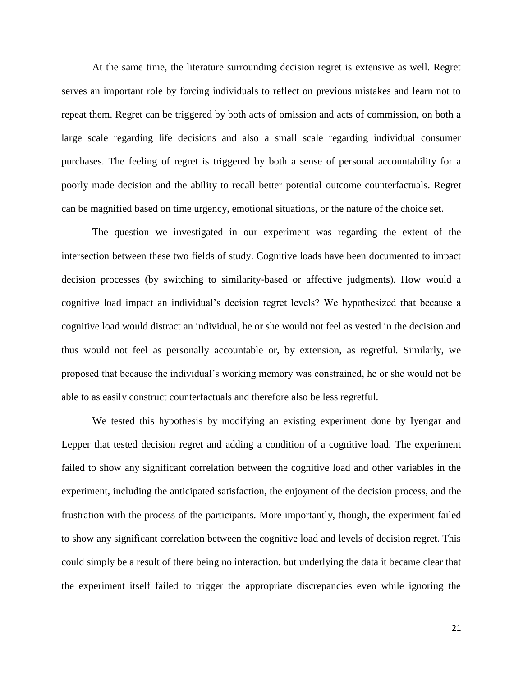At the same time, the literature surrounding decision regret is extensive as well. Regret serves an important role by forcing individuals to reflect on previous mistakes and learn not to repeat them. Regret can be triggered by both acts of omission and acts of commission, on both a large scale regarding life decisions and also a small scale regarding individual consumer purchases. The feeling of regret is triggered by both a sense of personal accountability for a poorly made decision and the ability to recall better potential outcome counterfactuals. Regret can be magnified based on time urgency, emotional situations, or the nature of the choice set.

The question we investigated in our experiment was regarding the extent of the intersection between these two fields of study. Cognitive loads have been documented to impact decision processes (by switching to similarity-based or affective judgments). How would a cognitive load impact an individual's decision regret levels? We hypothesized that because a cognitive load would distract an individual, he or she would not feel as vested in the decision and thus would not feel as personally accountable or, by extension, as regretful. Similarly, we proposed that because the individual's working memory was constrained, he or she would not be able to as easily construct counterfactuals and therefore also be less regretful.

We tested this hypothesis by modifying an existing experiment done by Iyengar and Lepper that tested decision regret and adding a condition of a cognitive load. The experiment failed to show any significant correlation between the cognitive load and other variables in the experiment, including the anticipated satisfaction, the enjoyment of the decision process, and the frustration with the process of the participants. More importantly, though, the experiment failed to show any significant correlation between the cognitive load and levels of decision regret. This could simply be a result of there being no interaction, but underlying the data it became clear that the experiment itself failed to trigger the appropriate discrepancies even while ignoring the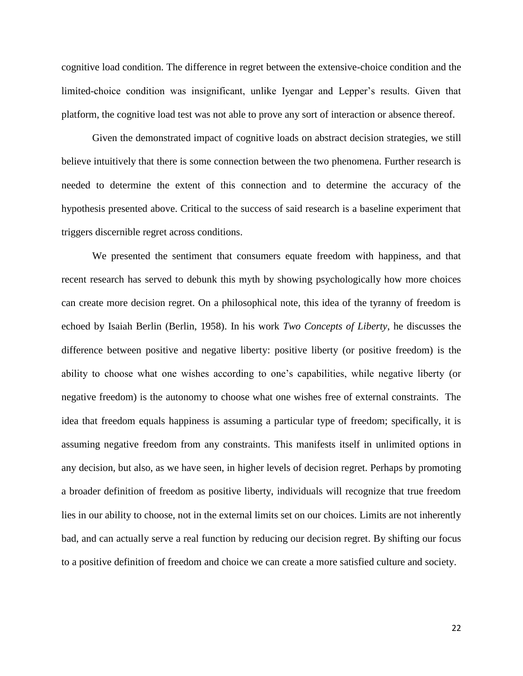cognitive load condition. The difference in regret between the extensive-choice condition and the limited-choice condition was insignificant, unlike Iyengar and Lepper's results. Given that platform, the cognitive load test was not able to prove any sort of interaction or absence thereof.

Given the demonstrated impact of cognitive loads on abstract decision strategies, we still believe intuitively that there is some connection between the two phenomena. Further research is needed to determine the extent of this connection and to determine the accuracy of the hypothesis presented above. Critical to the success of said research is a baseline experiment that triggers discernible regret across conditions.

We presented the sentiment that consumers equate freedom with happiness, and that recent research has served to debunk this myth by showing psychologically how more choices can create more decision regret. On a philosophical note, this idea of the tyranny of freedom is echoed by Isaiah Berlin (Berlin, 1958). In his work *Two Concepts of Liberty*, he discusses the difference between positive and negative liberty: positive liberty (or positive freedom) is the ability to choose what one wishes according to one's capabilities, while negative liberty (or negative freedom) is the autonomy to choose what one wishes free of external constraints. The idea that freedom equals happiness is assuming a particular type of freedom; specifically, it is assuming negative freedom from any constraints. This manifests itself in unlimited options in any decision, but also, as we have seen, in higher levels of decision regret. Perhaps by promoting a broader definition of freedom as positive liberty, individuals will recognize that true freedom lies in our ability to choose, not in the external limits set on our choices. Limits are not inherently bad, and can actually serve a real function by reducing our decision regret. By shifting our focus to a positive definition of freedom and choice we can create a more satisfied culture and society.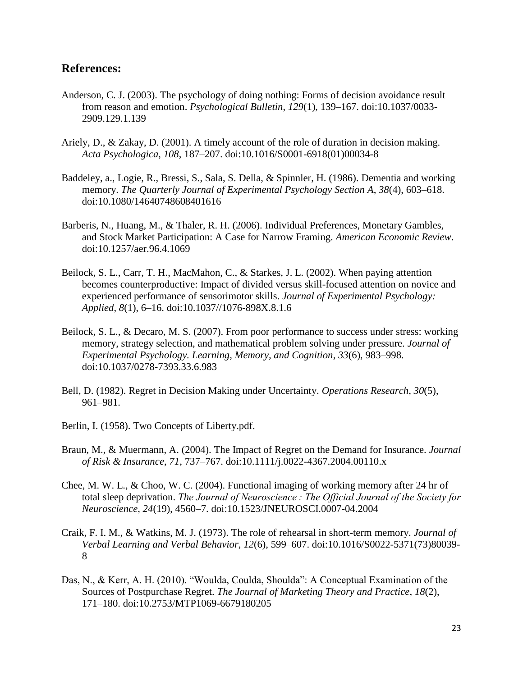#### **References:**

- Anderson, C. J. (2003). The psychology of doing nothing: Forms of decision avoidance result from reason and emotion. *Psychological Bulletin*, *129*(1), 139–167. doi:10.1037/0033- 2909.129.1.139
- Ariely, D., & Zakay, D. (2001). A timely account of the role of duration in decision making. *Acta Psychologica*, *108*, 187–207. doi:10.1016/S0001-6918(01)00034-8
- Baddeley, a., Logie, R., Bressi, S., Sala, S. Della, & Spinnler, H. (1986). Dementia and working memory. *The Quarterly Journal of Experimental Psychology Section A*, *38*(4), 603–618. doi:10.1080/14640748608401616
- Barberis, N., Huang, M., & Thaler, R. H. (2006). Individual Preferences, Monetary Gambles, and Stock Market Participation: A Case for Narrow Framing. *American Economic Review*. doi:10.1257/aer.96.4.1069
- Beilock, S. L., Carr, T. H., MacMahon, C., & Starkes, J. L. (2002). When paying attention becomes counterproductive: Impact of divided versus skill-focused attention on novice and experienced performance of sensorimotor skills. *Journal of Experimental Psychology: Applied*, *8*(1), 6–16. doi:10.1037//1076-898X.8.1.6
- Beilock, S. L., & Decaro, M. S. (2007). From poor performance to success under stress: working memory, strategy selection, and mathematical problem solving under pressure. *Journal of Experimental Psychology. Learning, Memory, and Cognition*, *33*(6), 983–998. doi:10.1037/0278-7393.33.6.983
- Bell, D. (1982). Regret in Decision Making under Uncertainty. *Operations Research*, *30*(5), 961–981.
- Berlin, I. (1958). Two Concepts of Liberty.pdf.
- Braun, M., & Muermann, A. (2004). The Impact of Regret on the Demand for Insurance. *Journal of Risk & Insurance*, *71*, 737–767. doi:10.1111/j.0022-4367.2004.00110.x
- Chee, M. W. L., & Choo, W. C. (2004). Functional imaging of working memory after 24 hr of total sleep deprivation. *The Journal of Neuroscience : The Official Journal of the Society for Neuroscience*, *24*(19), 4560–7. doi:10.1523/JNEUROSCI.0007-04.2004
- Craik, F. I. M., & Watkins, M. J. (1973). The role of rehearsal in short-term memory. *Journal of Verbal Learning and Verbal Behavior*, *12*(6), 599–607. doi:10.1016/S0022-5371(73)80039- 8
- Das, N., & Kerr, A. H. (2010). "Woulda, Coulda, Shoulda": A Conceptual Examination of the Sources of Postpurchase Regret. *The Journal of Marketing Theory and Practice*, *18*(2), 171–180. doi:10.2753/MTP1069-6679180205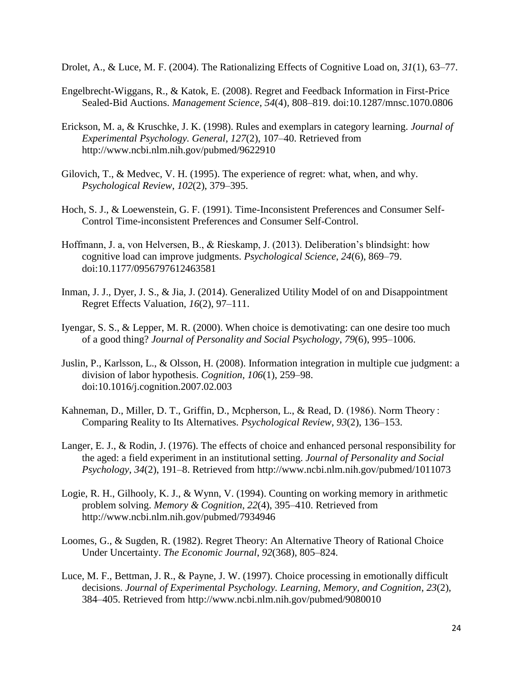Drolet, A., & Luce, M. F. (2004). The Rationalizing Effects of Cognitive Load on, *31*(1), 63–77.

- Engelbrecht-Wiggans, R., & Katok, E. (2008). Regret and Feedback Information in First-Price Sealed-Bid Auctions. *Management Science*, *54*(4), 808–819. doi:10.1287/mnsc.1070.0806
- Erickson, M. a, & Kruschke, J. K. (1998). Rules and exemplars in category learning. *Journal of Experimental Psychology. General*, *127*(2), 107–40. Retrieved from http://www.ncbi.nlm.nih.gov/pubmed/9622910
- Gilovich, T., & Medvec, V. H. (1995). The experience of regret: what, when, and why. *Psychological Review*, *102*(2), 379–395.
- Hoch, S. J., & Loewenstein, G. F. (1991). Time-Inconsistent Preferences and Consumer Self-Control Time-inconsistent Preferences and Consumer Self-Control.
- Hoffmann, J. a, von Helversen, B., & Rieskamp, J. (2013). Deliberation's blindsight: how cognitive load can improve judgments. *Psychological Science*, *24*(6), 869–79. doi:10.1177/0956797612463581
- Inman, J. J., Dyer, J. S., & Jia, J. (2014). Generalized Utility Model of on and Disappointment Regret Effects Valuation, *16*(2), 97–111.
- Iyengar, S. S., & Lepper, M. R. (2000). When choice is demotivating: can one desire too much of a good thing? *Journal of Personality and Social Psychology*, *79*(6), 995–1006.
- Juslin, P., Karlsson, L., & Olsson, H. (2008). Information integration in multiple cue judgment: a division of labor hypothesis. *Cognition*, *106*(1), 259–98. doi:10.1016/j.cognition.2007.02.003
- Kahneman, D., Miller, D. T., Griffin, D., Mcpherson, L., & Read, D. (1986). Norm Theory : Comparing Reality to Its Alternatives. *Psychological Review*, *93*(2), 136–153.
- Langer, E. J., & Rodin, J. (1976). The effects of choice and enhanced personal responsibility for the aged: a field experiment in an institutional setting. *Journal of Personality and Social Psychology*, *34*(2), 191–8. Retrieved from http://www.ncbi.nlm.nih.gov/pubmed/1011073
- Logie, R. H., Gilhooly, K. J., & Wynn, V. (1994). Counting on working memory in arithmetic problem solving. *Memory & Cognition*, *22*(4), 395–410. Retrieved from http://www.ncbi.nlm.nih.gov/pubmed/7934946
- Loomes, G., & Sugden, R. (1982). Regret Theory: An Alternative Theory of Rational Choice Under Uncertainty. *The Economic Journal*, *92*(368), 805–824.
- Luce, M. F., Bettman, J. R., & Payne, J. W. (1997). Choice processing in emotionally difficult decisions. *Journal of Experimental Psychology. Learning, Memory, and Cognition*, *23*(2), 384–405. Retrieved from http://www.ncbi.nlm.nih.gov/pubmed/9080010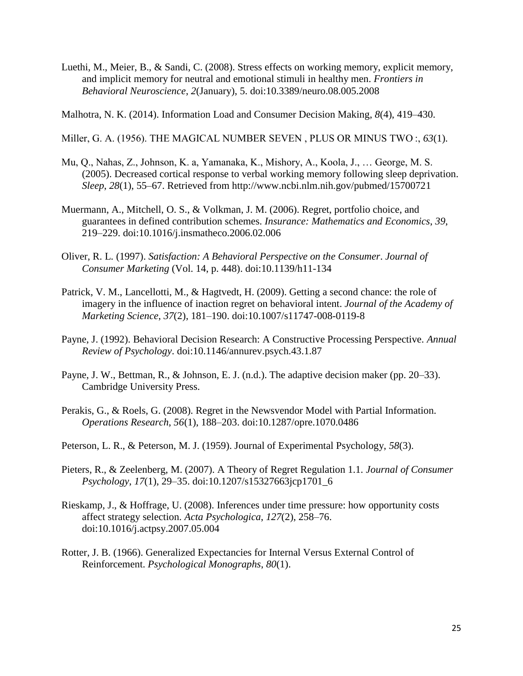- Luethi, M., Meier, B., & Sandi, C. (2008). Stress effects on working memory, explicit memory, and implicit memory for neutral and emotional stimuli in healthy men. *Frontiers in Behavioral Neuroscience*, *2*(January), 5. doi:10.3389/neuro.08.005.2008
- Malhotra, N. K. (2014). Information Load and Consumer Decision Making, *8*(4), 419–430.
- Miller, G. A. (1956). THE MAGICAL NUMBER SEVEN , PLUS OR MINUS TWO :, *63*(1).
- Mu, Q., Nahas, Z., Johnson, K. a, Yamanaka, K., Mishory, A., Koola, J., … George, M. S. (2005). Decreased cortical response to verbal working memory following sleep deprivation. *Sleep*, *28*(1), 55–67. Retrieved from http://www.ncbi.nlm.nih.gov/pubmed/15700721
- Muermann, A., Mitchell, O. S., & Volkman, J. M. (2006). Regret, portfolio choice, and guarantees in defined contribution schemes. *Insurance: Mathematics and Economics*, *39*, 219–229. doi:10.1016/j.insmatheco.2006.02.006
- Oliver, R. L. (1997). *Satisfaction: A Behavioral Perspective on the Consumer*. *Journal of Consumer Marketing* (Vol. 14, p. 448). doi:10.1139/h11-134
- Patrick, V. M., Lancellotti, M., & Hagtvedt, H. (2009). Getting a second chance: the role of imagery in the influence of inaction regret on behavioral intent. *Journal of the Academy of Marketing Science*, *37*(2), 181–190. doi:10.1007/s11747-008-0119-8
- Payne, J. (1992). Behavioral Decision Research: A Constructive Processing Perspective. *Annual Review of Psychology*. doi:10.1146/annurev.psych.43.1.87
- Payne, J. W., Bettman, R., & Johnson, E. J. (n.d.). The adaptive decision maker (pp. 20–33). Cambridge University Press.
- Perakis, G., & Roels, G. (2008). Regret in the Newsvendor Model with Partial Information. *Operations Research*, *56*(1), 188–203. doi:10.1287/opre.1070.0486
- Peterson, L. R., & Peterson, M. J. (1959). Journal of Experimental Psychology, *58*(3).
- Pieters, R., & Zeelenberg, M. (2007). A Theory of Regret Regulation 1.1. *Journal of Consumer Psychology*, *17*(1), 29–35. doi:10.1207/s15327663jcp1701\_6
- Rieskamp, J., & Hoffrage, U. (2008). Inferences under time pressure: how opportunity costs affect strategy selection. *Acta Psychologica*, *127*(2), 258–76. doi:10.1016/j.actpsy.2007.05.004
- Rotter, J. B. (1966). Generalized Expectancies for Internal Versus External Control of Reinforcement. *Psychological Monographs*, *80*(1).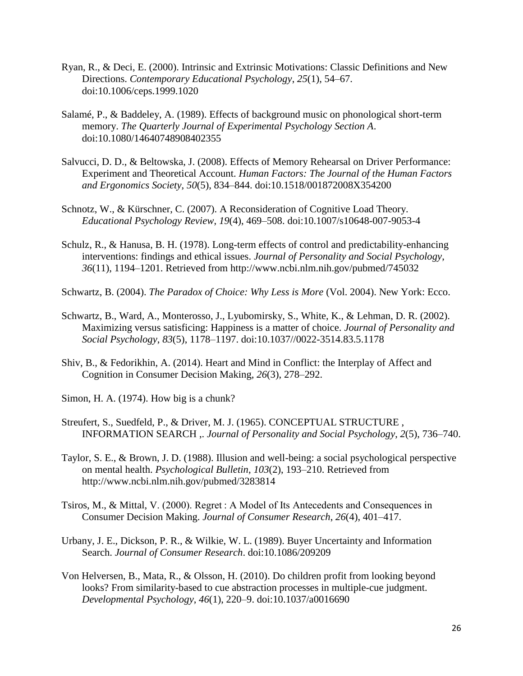- Ryan, R., & Deci, E. (2000). Intrinsic and Extrinsic Motivations: Classic Definitions and New Directions. *Contemporary Educational Psychology*, *25*(1), 54–67. doi:10.1006/ceps.1999.1020
- Salamé, P., & Baddeley, A. (1989). Effects of background music on phonological short-term memory. *The Quarterly Journal of Experimental Psychology Section A*. doi:10.1080/14640748908402355
- Salvucci, D. D., & Beltowska, J. (2008). Effects of Memory Rehearsal on Driver Performance: Experiment and Theoretical Account. *Human Factors: The Journal of the Human Factors and Ergonomics Society*, *50*(5), 834–844. doi:10.1518/001872008X354200
- Schnotz, W., & Kürschner, C. (2007). A Reconsideration of Cognitive Load Theory. *Educational Psychology Review*, *19*(4), 469–508. doi:10.1007/s10648-007-9053-4
- Schulz, R., & Hanusa, B. H. (1978). Long-term effects of control and predictability-enhancing interventions: findings and ethical issues. *Journal of Personality and Social Psychology*, *36*(11), 1194–1201. Retrieved from http://www.ncbi.nlm.nih.gov/pubmed/745032
- Schwartz, B. (2004). *The Paradox of Choice: Why Less is More* (Vol. 2004). New York: Ecco.
- Schwartz, B., Ward, A., Monterosso, J., Lyubomirsky, S., White, K., & Lehman, D. R. (2002). Maximizing versus satisficing: Happiness is a matter of choice. *Journal of Personality and Social Psychology*, *83*(5), 1178–1197. doi:10.1037//0022-3514.83.5.1178
- Shiv, B., & Fedorikhin, A. (2014). Heart and Mind in Conflict: the Interplay of Affect and Cognition in Consumer Decision Making, *26*(3), 278–292.
- Simon, H. A. (1974). How big is a chunk?
- Streufert, S., Suedfeld, P., & Driver, M. J. (1965). CONCEPTUAL STRUCTURE , INFORMATION SEARCH ,. *Journal of Personality and Social Psychology*, *2*(5), 736–740.
- Taylor, S. E., & Brown, J. D. (1988). Illusion and well-being: a social psychological perspective on mental health. *Psychological Bulletin*, *103*(2), 193–210. Retrieved from http://www.ncbi.nlm.nih.gov/pubmed/3283814
- Tsiros, M., & Mittal, V. (2000). Regret : A Model of Its Antecedents and Consequences in Consumer Decision Making. *Journal of Consumer Research*, *26*(4), 401–417.
- Urbany, J. E., Dickson, P. R., & Wilkie, W. L. (1989). Buyer Uncertainty and Information Search. *Journal of Consumer Research*. doi:10.1086/209209
- Von Helversen, B., Mata, R., & Olsson, H. (2010). Do children profit from looking beyond looks? From similarity-based to cue abstraction processes in multiple-cue judgment. *Developmental Psychology*, *46*(1), 220–9. doi:10.1037/a0016690